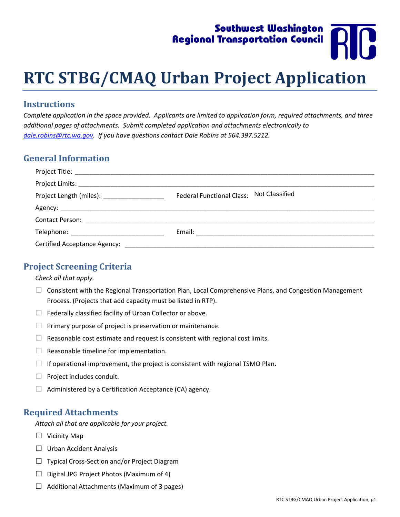# Southwest Washington Regional Transportation Council

# **RTC STBG/CMAQ Urban Project Application**

#### **Instructions**

Complete application in the space provided. Applicants are limited to application form, required attachments, and three *additional pages of attachments. Submit completed application and attachments electronically to dale.robins@rtc.wa.gov. If you have questions contact Dale Robins at 564.397.5212.*

#### **General Information**

| Project Length (miles): ___________________ | Federal Functional Class: Not Classified |
|---------------------------------------------|------------------------------------------|
|                                             |                                          |
|                                             |                                          |
|                                             |                                          |
|                                             |                                          |

#### **Project Screening Criteria**

#### *Check all that apply.*

- □ Consistent with the Regional Transportation Plan, Local Comprehensive Plans, and Congestion Management Process. (Projects that add capacity must be listed in RTP).
- $\Box$  Federally classified facility of Urban Collector or above.
- $\Box$  Primary purpose of project is preservation or maintenance.
- $\Box$  Reasonable cost estimate and request is consistent with regional cost limits.
- $\Box$  Reasonable timeline for implementation.
- $\Box$  If operational improvement, the project is consistent with regional TSMO Plan.
- □ Project includes conduit.
- $\Box$  Administered by a Certification Acceptance (CA) agency.

#### **Required Attachments**

*Attach all that are applicable for your project.*

- $\Box$  Vicinity Map
- □ Urban Accident Analysis
- ☐ Typical Cross‐Section and/or Project Diagram
- $\Box$  Digital JPG Project Photos (Maximum of 4)
- $\Box$  Additional Attachments (Maximum of 3 pages)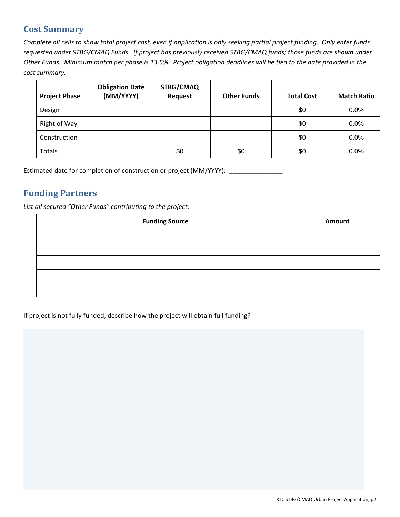## **Cost Summary**

Complete all cells to show total project cost, even if application is only seeking partial project funding. Only enter funds requested under STBG/CMAQ Funds. If project has previously received STBG/CMAQ funds; those funds are shown under Other Funds. Minimum match per phase is 13.5%. Project obligation deadlines will be tied to the date provided in the *cost summary.*

| <b>Project Phase</b> | <b>Obligation Date</b><br>(MM/YYYY) | STBG/CMAQ<br><b>Request</b> | <b>Other Funds</b> | <b>Total Cost</b> | <b>Match Ratio</b> |
|----------------------|-------------------------------------|-----------------------------|--------------------|-------------------|--------------------|
| Design               |                                     |                             |                    | \$0               | 0.0%               |
| Right of Way         |                                     |                             |                    | \$0               | $0.0\%$            |
| Construction         |                                     |                             |                    | \$0               | 0.0%               |
| Totals               |                                     | \$0                         | \$0                | \$0               | 0.0%               |

Estimated date for completion of construction or project (MM/YYYY): \_\_\_\_\_\_\_\_\_\_\_\_

#### **Funding Partners**

*List all secured "Other Funds" contributing to the project:* 

| <b>Funding Source</b> | Amount |
|-----------------------|--------|
|                       |        |
|                       |        |
|                       |        |
|                       |        |
|                       |        |

If project is not fully funded, describe how the project will obtain full funding?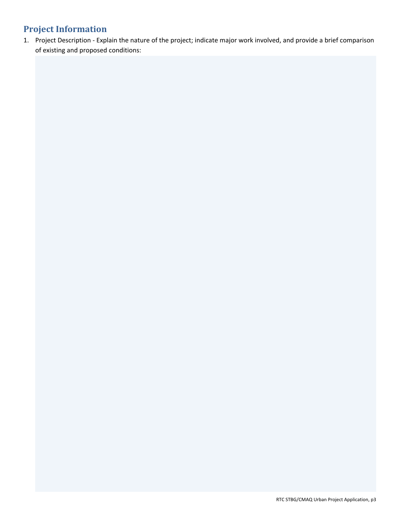## **Project Information**

1. Project Description ‐ Explain the nature of the project; indicate major work involved, and provide a brief comparison of existing and proposed conditions: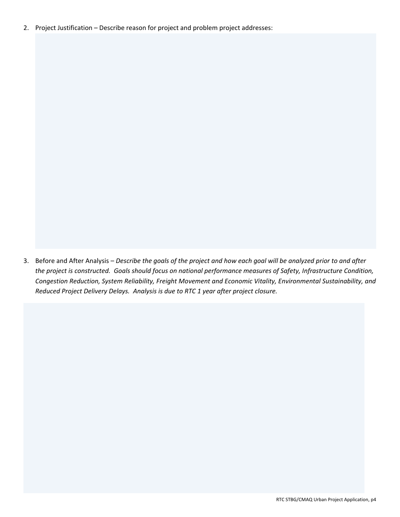2. Project Justification – Describe reason for project and problem project addresses:

3. Before and After Analysis - Describe the goals of the project and how each goal will be analyzed prior to and after the project is constructed. Goals should focus on national performance measures of Safety, Infrastructure Condition, *Congestion Reduction, System Reliability, Freight Movement and Economic Vitality, Environmental Sustainability, and Reduced Project Delivery Delays. Analysis is due to RTC 1 year after project closure.*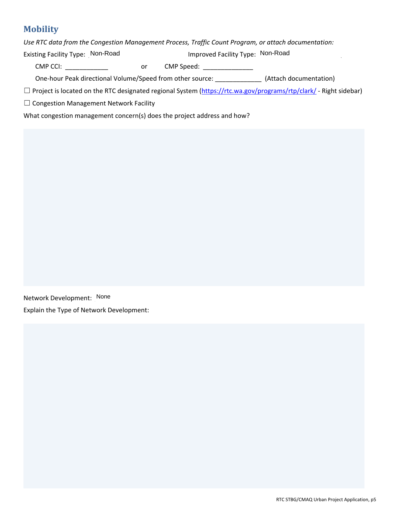## **Mobility**

*Use RTC data from the Congestion Management Process, Traffic Count Program, or attach documentation:*

Existing Facility Type: Non-Road **Non-Road Communist Communist Pacility Type: Non-Road** 

CMP CCI: \_\_\_\_\_\_\_\_\_\_\_\_ or CMP Speed: \_\_\_\_\_\_\_\_\_\_\_\_\_\_

One-hour Peak directional Volume/Speed from other source: \_\_\_\_\_\_\_\_\_\_\_\_\_\_\_\_ (Attach documentation)

☐ Project is located on the RTC designated regional System [\(https://rtc.wa.gov/programs/rtp/clark/](https://rtc.wa.gov/programs/rtp/clark/) ‐ Right sidebar)

☐ Congestion Management Network Facility

What congestion management concern(s) does the project address and how?

Network Development: None Explain the Type of Network Development: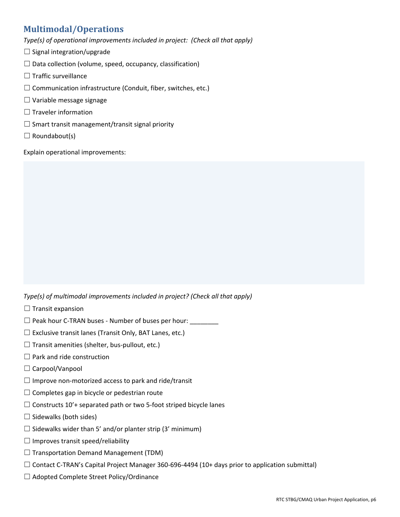## **Multimodal/Operations**

*Type(s) of operational improvements included in project: (Check all that apply)*

- $\Box$  Signal integration/upgrade
- $\Box$  Data collection (volume, speed, occupancy, classification)
- ☐ Traffic surveillance
- $\Box$  Communication infrastructure (Conduit, fiber, switches, etc.)
- ☐ Variable message signage
- $\Box$  Traveler information
- $\Box$  Smart transit management/transit signal priority
- $\Box$  Roundabout(s)

Explain operational improvements:

*Type(s) of multimodal improvements included in project? (Check all that apply)*

- $\Box$  Transit expansion
- ☐ Peak hour C‐TRAN buses ‐ Number of buses per hour: \_\_\_\_\_\_\_\_
- $\Box$  Exclusive transit lanes (Transit Only, BAT Lanes, etc.)
- $\Box$  Transit amenities (shelter, bus-pullout, etc.)
- $\Box$  Park and ride construction
- □ Carpool/Vanpool
- $\Box$  Improve non-motorized access to park and ride/transit
- $\Box$  Completes gap in bicycle or pedestrian route
- $\Box$  Constructs 10'+ separated path or two 5-foot striped bicycle lanes
- $\Box$  Sidewalks (both sides)
- $\Box$  Sidewalks wider than 5' and/or planter strip (3' minimum)
- $\Box$  Improves transit speed/reliability
- $\Box$  Transportation Demand Management (TDM)
- ☐ Contact C‐TRAN's Capital Project Manager 360‐696‐4494 (10+ days prior to application submittal)
- ☐ Adopted Complete Street Policy/Ordinance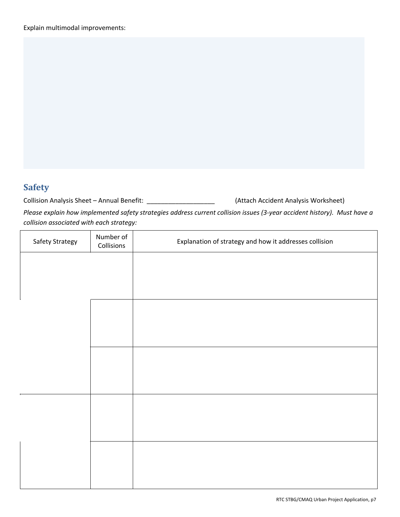## **Safety**

Collision Analysis Sheet – Annual Benefit: \_\_\_\_\_\_\_\_\_\_\_\_\_\_\_\_\_\_\_\_\_\_\_\_\_ (Attach Accident Analysis Worksheet)

Please explain how implemented safety strategies address current collision issues (3-year accident history). Must have a *collision associated with each strategy:* 

| Safety Strategy | Number of<br>Collisions | Explanation of strategy and how it addresses collision |  |
|-----------------|-------------------------|--------------------------------------------------------|--|
|                 |                         |                                                        |  |
|                 |                         |                                                        |  |
|                 |                         |                                                        |  |
|                 |                         |                                                        |  |
|                 |                         |                                                        |  |
|                 |                         |                                                        |  |
|                 |                         |                                                        |  |
|                 |                         |                                                        |  |
|                 |                         |                                                        |  |
|                 |                         |                                                        |  |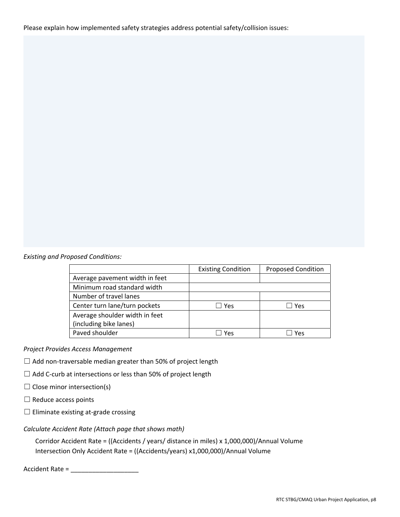Please explain how implemented safety strategies address potential safety/collision issues:

#### *Existing and Proposed Conditions:*

|                                | <b>Existing Condition</b> | <b>Proposed Condition</b> |
|--------------------------------|---------------------------|---------------------------|
| Average pavement width in feet |                           |                           |
| Minimum road standard width    |                           |                           |
| Number of travel lanes         |                           |                           |
| Center turn lane/turn pockets  | Yes                       | Yes                       |
| Average shoulder width in feet |                           |                           |
| (including bike lanes)         |                           |                           |
| Paved shoulder                 | Yes                       | Yes                       |

#### *Project Provides Access Management*

- ☐ Add non‐traversable median greater than 50% of project length
- □ Add C-curb at intersections or less than 50% of project length
- $\Box$  Close minor intersection(s)
- $\Box$  Reduce access points
- ☐ Eliminate existing at‐grade crossing

#### *Calculate Accident Rate (Attach page that shows math)*

Corridor Accident Rate = ((Accidents / years/ distance in miles) x 1,000,000)/Annual Volume Intersection Only Accident Rate = ((Accidents/years) x1,000,000)/Annual Volume

Accident Rate = \_\_\_\_\_\_\_\_\_\_\_\_\_\_\_\_\_\_\_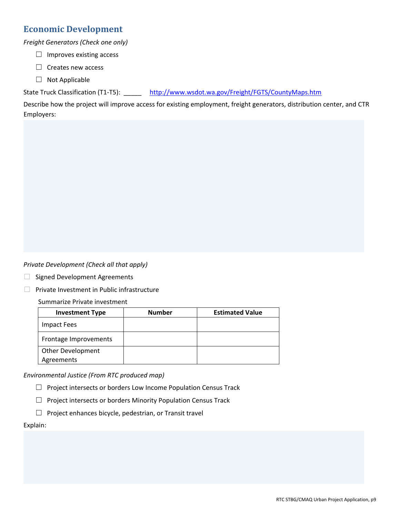#### **Economic Development**

*Freight Generators (Check one only)*

- $\Box$  Improves existing access
- ☐ Creates new access
- ☐ Not Applicable

State Truck Classification (T1-T5): <http://www.wsdot.wa.gov/Freight/FGTS/CountyMaps.htm>

Describe how the project will improve access for existing employment, freight generators, distribution center, and CTR Employers:

*Private Development (Check all that apply)*

- □ Signed Development Agreements
- $\Box$  Private Investment in Public infrastructure

Summarize Private investment

| <b>Investment Type</b> | <b>Number</b> | <b>Estimated Value</b> |
|------------------------|---------------|------------------------|
| Impact Fees            |               |                        |
| Frontage Improvements  |               |                        |
| Other Development      |               |                        |
| Agreements             |               |                        |

*Environmental Justice (From RTC produced map)*

- □ Project intersects or borders Low Income Population Census Track
- ☐ Project intersects or borders Minority Population Census Track
- ☐ Project enhances bicycle, pedestrian, or Transit travel

#### Explain: